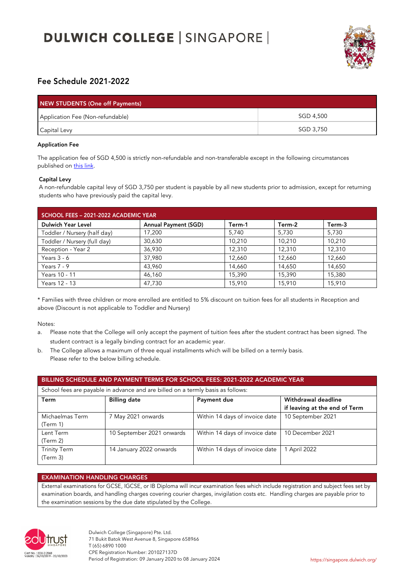# **DULWICH COLLEGE | SINGAPORE |**



## Fee Schedule 2021-2022

| <b>NEW STUDENTS (One off Payments)</b> |           |  |  |  |
|----------------------------------------|-----------|--|--|--|
| Application Fee (Non-refundable)       | SGD 4,500 |  |  |  |
| Capital Levy                           | SGD 3,750 |  |  |  |

### Application Fee

The application fee of SGD 4,500 is strictly non-refundable and non-transferable except in the following circumstances published on this link.

### Capital Levy

A non-refundable capital levy of SGD 3,750 per student is payable by all new students prior to admission, except for returning students who have previously paid the capital levy.

| SCHOOL FEES - 2021-2022 ACADEMIC YEAR |                             |        |        |        |  |
|---------------------------------------|-----------------------------|--------|--------|--------|--|
| <b>Dulwich Year Level</b>             | <b>Annual Payment (SGD)</b> | Term-1 | Term-2 | Term-3 |  |
| Toddler / Nursery (half day)          | 17,200                      | 5,740  | 5,730  | 5,730  |  |
| Toddler / Nursery (full day)          | 30,630                      | 10,210 | 10.210 | 10,210 |  |
| Reception - Year 2                    | 36,930                      | 12,310 | 12,310 | 12,310 |  |
| Years $3 - 6$                         | 37,980                      | 12,660 | 12,660 | 12,660 |  |
| Years $7 - 9$                         | 43.960                      | 14.660 | 14.650 | 14,650 |  |
| Years 10 - 11                         | 46,160                      | 15,390 | 15,390 | 15,380 |  |
| Years 12 - 13                         | 47,730                      | 15,910 | 15,910 | 15,910 |  |

\* Families with three children or more enrolled are entitled to 5% discount on tuition fees for all students in Reception and above (Discount is not applicable to Toddler and Nursery)

Notes:

- a. Please note that the College will only accept the payment of tuition fees after the student contract has been signed. The student contract is a legally binding contract for an academic year.
- b. The College allows a maximum of three equal installments which will be billed on a termly basis. Please refer to the below billing schedule.

| BILLING SCHEDULE AND PAYMENT TERMS FOR SCHOOL FEES: 2021-2022 ACADEMIC YEAR<br>School fees are payable in advance and are billed on a termly basis as follows: |                           |                                |                   |  |  |
|----------------------------------------------------------------------------------------------------------------------------------------------------------------|---------------------------|--------------------------------|-------------------|--|--|
|                                                                                                                                                                |                           |                                |                   |  |  |
| Michaelmas Term<br>(Term 1)                                                                                                                                    | 7 May 2021 onwards        | Within 14 days of invoice date | 10 September 2021 |  |  |
| Lent Term<br>(Term 2)                                                                                                                                          | 10 September 2021 onwards | Within 14 days of invoice date | 10 December 2021  |  |  |
| <b>Trinity Term</b><br>(Term 3)                                                                                                                                | 14 January 2022 onwards   | Within 14 days of invoice date | 1 April 2022      |  |  |

## EXAMINATION HANDLING CHARGES

External examinations for GCSE, IGCSE, or IB Diploma will incur examination fees which include registration and subject fees set by examination boards, and handling charges covering courier charges, invigilation costs etc. Handling charges are payable prior to the examination sessions by the due date stipulated by the College.